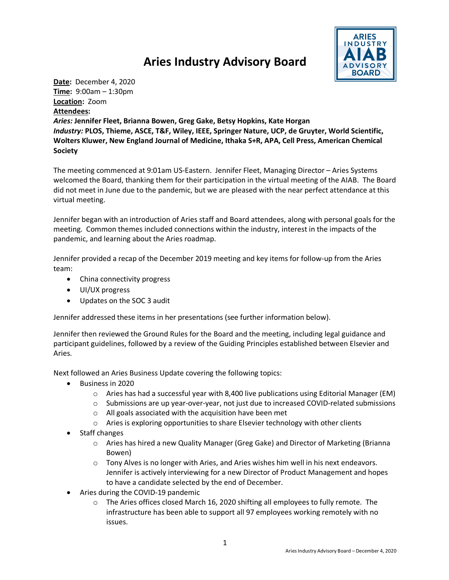## **Aries Industry Advisory Board**



**Date:** December 4, 2020 **Time:** 9:00am – 1:30pm **Location:** Zoom **Attendees:**

*Aries:* **Jennifer Fleet, Brianna Bowen, Greg Gake, Betsy Hopkins, Kate Horgan** *Industry:* **PLOS, Thieme, ASCE, T&F, Wiley, IEEE, Springer Nature, UCP, de Gruyter, World Scientific, Wolters Kluwer, New England Journal of Medicine, Ithaka S+R, APA, Cell Press, American Chemical Society**

The meeting commenced at 9:01am US-Eastern. Jennifer Fleet, Managing Director – Aries Systems welcomed the Board, thanking them for their participation in the virtual meeting of the AIAB. The Board did not meet in June due to the pandemic, but we are pleased with the near perfect attendance at this virtual meeting.

Jennifer began with an introduction of Aries staff and Board attendees, along with personal goals for the meeting. Common themes included connections within the industry, interest in the impacts of the pandemic, and learning about the Aries roadmap.

Jennifer provided a recap of the December 2019 meeting and key items for follow-up from the Aries team:

- China connectivity progress
- UI/UX progress
- Updates on the SOC 3 audit

Jennifer addressed these items in her presentations (see further information below).

Jennifer then reviewed the Ground Rules for the Board and the meeting, including legal guidance and participant guidelines, followed by a review of the Guiding Principles established between Elsevier and Aries.

Next followed an Aries Business Update covering the following topics:

- Business in 2020
	- o Aries has had a successful year with 8,400 live publications using Editorial Manager (EM)
	- o Submissions are up year-over-year, not just due to increased COVID-related submissions
	- o All goals associated with the acquisition have been met
	- o Aries is exploring opportunities to share Elsevier technology with other clients
- Staff changes
	- o Aries has hired a new Quality Manager (Greg Gake) and Director of Marketing (Brianna Bowen)
	- o Tony Alves is no longer with Aries, and Aries wishes him well in his next endeavors. Jennifer is actively interviewing for a new Director of Product Management and hopes to have a candidate selected by the end of December.
- Aries during the COVID-19 pandemic
	- $\circ$  The Aries offices closed March 16, 2020 shifting all employees to fully remote. The infrastructure has been able to support all 97 employees working remotely with no issues.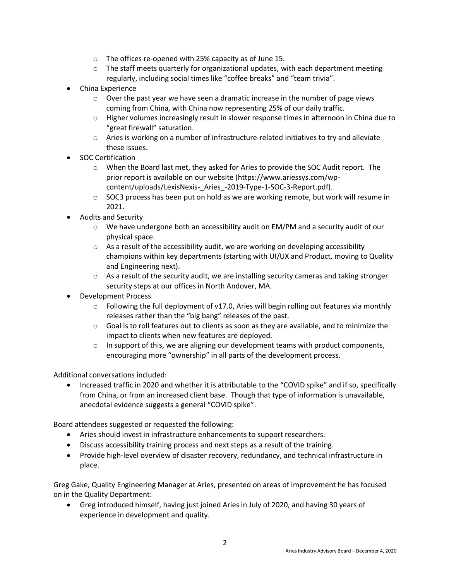- o The offices re-opened with 25% capacity as of June 15.
- $\circ$  The staff meets quarterly for organizational updates, with each department meeting regularly, including social times like "coffee breaks" and "team trivia".
- China Experience
	- $\circ$  Over the past year we have seen a dramatic increase in the number of page views coming from China, with China now representing 25% of our daily traffic.
	- o Higher volumes increasingly result in slower response times in afternoon in China due to "great firewall" saturation.
	- $\circ$  Aries is working on a number of infrastructure-related initiatives to try and alleviate these issues.
- SOC Certification
	- o When the Board last met, they asked for Aries to provide the SOC Audit report. The prior report is available on our website (https://www.ariessys.com/wpcontent/uploads/LexisNexis-\_Aries\_-2019-Type-1-SOC-3-Report.pdf).
	- o SOC3 process has been put on hold as we are working remote, but work will resume in 2021.
- Audits and Security
	- o We have undergone both an accessibility audit on EM/PM and a security audit of our physical space.
	- $\circ$  As a result of the accessibility audit, we are working on developing accessibility champions within key departments (starting with UI/UX and Product, moving to Quality and Engineering next).
	- $\circ$  As a result of the security audit, we are installing security cameras and taking stronger security steps at our offices in North Andover, MA.
- Development Process
	- o Following the full deployment of v17.0, Aries will begin rolling out features via monthly releases rather than the "big bang" releases of the past.
	- o Goal is to roll features out to clients as soon as they are available, and to minimize the impact to clients when new features are deployed.
	- $\circ$  In support of this, we are aligning our development teams with product components, encouraging more "ownership" in all parts of the development process.

Additional conversations included:

• Increased traffic in 2020 and whether it is attributable to the "COVID spike" and if so, specifically from China, or from an increased client base. Though that type of information is unavailable, anecdotal evidence suggests a general "COVID spike".

Board attendees suggested or requested the following:

- Aries should invest in infrastructure enhancements to support researchers.
- Discuss accessibility training process and next steps as a result of the training.
- Provide high-level overview of disaster recovery, redundancy, and technical infrastructure in place.

Greg Gake, Quality Engineering Manager at Aries, presented on areas of improvement he has focused on in the Quality Department:

• Greg introduced himself, having just joined Aries in July of 2020, and having 30 years of experience in development and quality.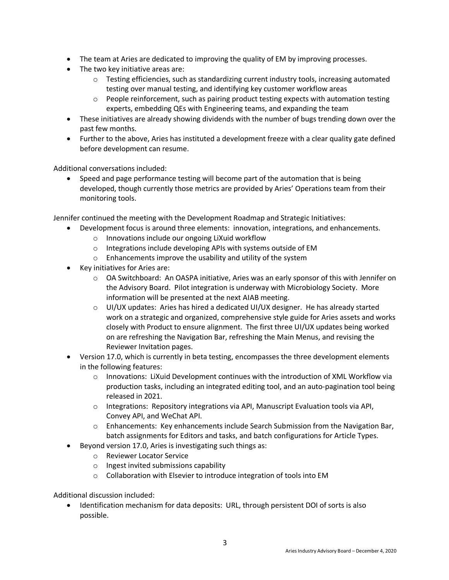- The team at Aries are dedicated to improving the quality of EM by improving processes.
- The two key initiative areas are:
	- o Testing efficiencies, such as standardizing current industry tools, increasing automated testing over manual testing, and identifying key customer workflow areas
	- o People reinforcement, such as pairing product testing expects with automation testing experts, embedding QEs with Engineering teams, and expanding the team
- These initiatives are already showing dividends with the number of bugs trending down over the past few months.
- Further to the above, Aries has instituted a development freeze with a clear quality gate defined before development can resume.

Additional conversations included:

• Speed and page performance testing will become part of the automation that is being developed, though currently those metrics are provided by Aries' Operations team from their monitoring tools.

Jennifer continued the meeting with the Development Roadmap and Strategic Initiatives:

- Development focus is around three elements: innovation, integrations, and enhancements.
	- o Innovations include our ongoing LiXuid workflow
	- o Integrations include developing APIs with systems outside of EM
	- o Enhancements improve the usability and utility of the system
- Key initiatives for Aries are:
	- o OA Switchboard: An OASPA initiative, Aries was an early sponsor of this with Jennifer on the Advisory Board. Pilot integration is underway with Microbiology Society. More information will be presented at the next AIAB meeting.
	- $\circ$  UI/UX updates: Aries has hired a dedicated UI/UX designer. He has already started work on a strategic and organized, comprehensive style guide for Aries assets and works closely with Product to ensure alignment. The first three UI/UX updates being worked on are refreshing the Navigation Bar, refreshing the Main Menus, and revising the Reviewer Invitation pages.
- Version 17.0, which is currently in beta testing, encompasses the three development elements in the following features:
	- $\circ$  Innovations: LiXuid Development continues with the introduction of XML Workflow via production tasks, including an integrated editing tool, and an auto-pagination tool being released in 2021.
	- o Integrations: Repository integrations via API, Manuscript Evaluation tools via API, Convey API, and WeChat API.
	- o Enhancements: Key enhancements include Search Submission from the Navigation Bar, batch assignments for Editors and tasks, and batch configurations for Article Types.
- Beyond version 17.0, Aries is investigating such things as:
	- o Reviewer Locator Service
	- o Ingest invited submissions capability
	- o Collaboration with Elsevier to introduce integration of tools into EM

Additional discussion included:

• Identification mechanism for data deposits: URL, through persistent DOI of sorts is also possible.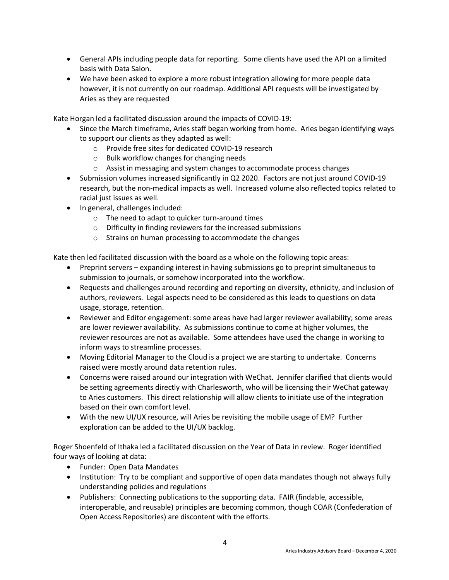- General APIs including people data for reporting. Some clients have used the API on a limited basis with Data Salon.
- We have been asked to explore a more robust integration allowing for more people data however, it is not currently on our roadmap. Additional API requests will be investigated by Aries as they are requested

Kate Horgan led a facilitated discussion around the impacts of COVID-19:

- Since the March timeframe, Aries staff began working from home. Aries began identifying ways to support our clients as they adapted as well:
	- o Provide free sites for dedicated COVID-19 research
	- o Bulk workflow changes for changing needs
	- o Assist in messaging and system changes to accommodate process changes
- Submission volumes increased significantly in Q2 2020. Factors are not just around COVID-19 research, but the non-medical impacts as well. Increased volume also reflected topics related to racial just issues as well.
- In general, challenges included:
	- o The need to adapt to quicker turn-around times
	- o Difficulty in finding reviewers for the increased submissions
	- o Strains on human processing to accommodate the changes

Kate then led facilitated discussion with the board as a whole on the following topic areas:

- Preprint servers expanding interest in having submissions go to preprint simultaneous to submission to journals, or somehow incorporated into the workflow.
- Requests and challenges around recording and reporting on diversity, ethnicity, and inclusion of authors, reviewers. Legal aspects need to be considered as this leads to questions on data usage, storage, retention.
- Reviewer and Editor engagement: some areas have had larger reviewer availability; some areas are lower reviewer availability. As submissions continue to come at higher volumes, the reviewer resources are not as available. Some attendees have used the change in working to inform ways to streamline processes.
- Moving Editorial Manager to the Cloud is a project we are starting to undertake. Concerns raised were mostly around data retention rules.
- Concerns were raised around our integration with WeChat. Jennifer clarified that clients would be setting agreements directly with Charlesworth, who will be licensing their WeChat gateway to Aries customers. This direct relationship will allow clients to initiate use of the integration based on their own comfort level.
- With the new UI/UX resource, will Aries be revisiting the mobile usage of EM? Further exploration can be added to the UI/UX backlog.

Roger Shoenfeld of Ithaka led a facilitated discussion on the Year of Data in review. Roger identified four ways of looking at data:

- Funder: Open Data Mandates
- Institution: Try to be compliant and supportive of open data mandates though not always fully understanding policies and regulations
- Publishers: Connecting publications to the supporting data. FAIR (findable, accessible, interoperable, and reusable) principles are becoming common, though COAR (Confederation of Open Access Repositories) are discontent with the efforts.